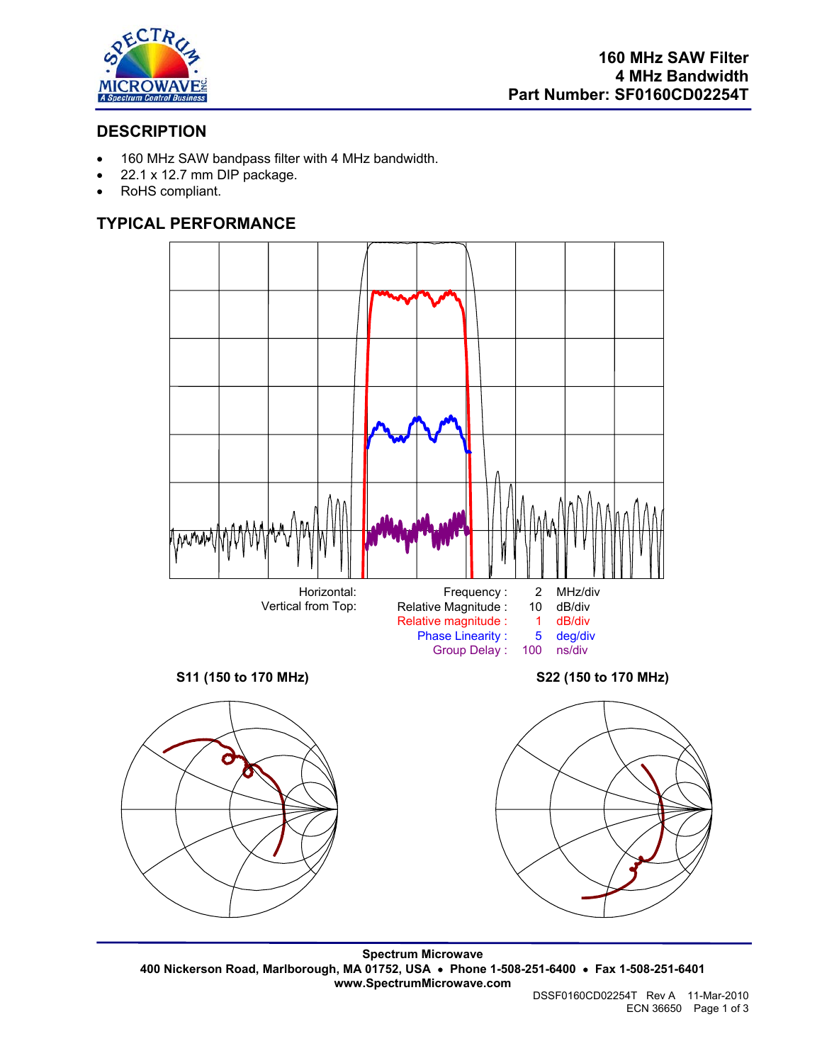

## **DESCRIPTION**

- 160 MHz SAW bandpass filter with 4 MHz bandwidth.
- 22.1 x 12.7 mm DIP package.
- RoHS compliant.

# **TYPICAL PERFORMANCE**



**Spectrum Microwave 400 Nickerson Road, Marlborough, MA 01752, USA** • **Phone 1-508-251-6400** • **Fax 1-508-251-6401 www.SpectrumMicrowave.com**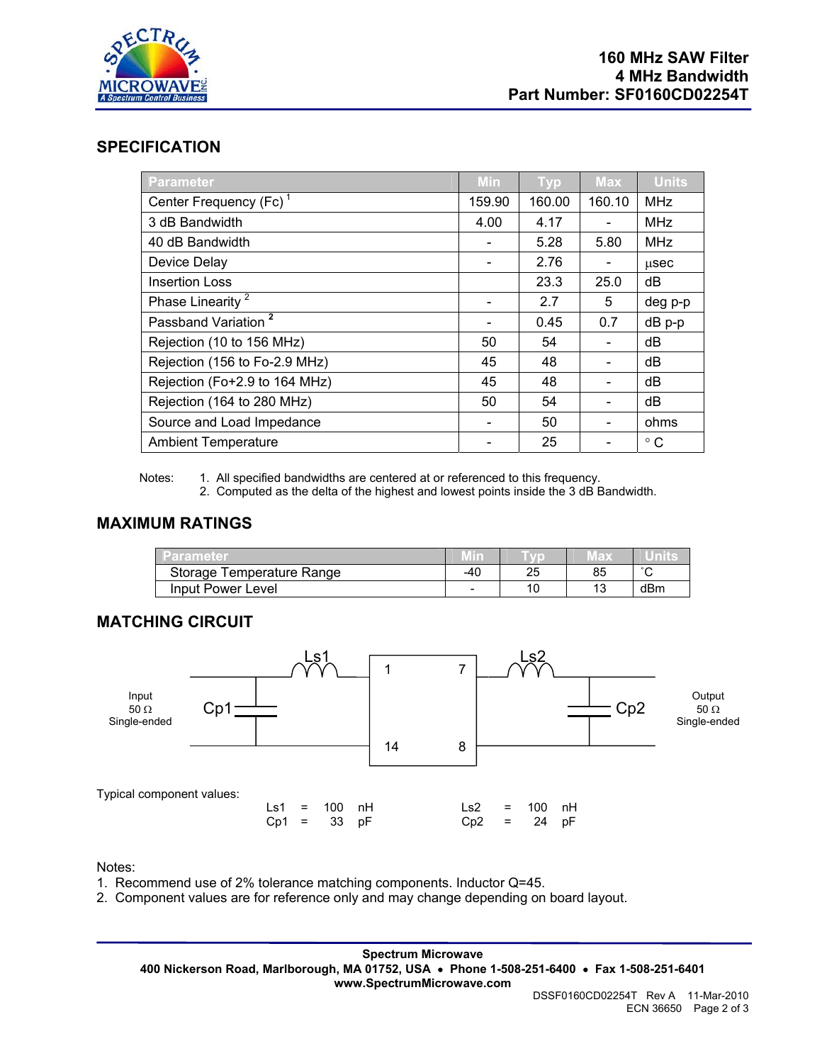

### **SPECIFICATION**

| <b>Parameter</b>                   | Min                      | <b>Typ</b> | <b>Max</b>                   | <b>Units</b> |
|------------------------------------|--------------------------|------------|------------------------------|--------------|
| Center Frequency (Fc) <sup>1</sup> | 159.90                   | 160.00     | 160.10                       | <b>MHz</b>   |
| 3 dB Bandwidth                     | 4.00                     | 4.17       |                              | <b>MHz</b>   |
| 40 dB Bandwidth                    |                          | 5.28       | 5.80                         | <b>MHz</b>   |
| Device Delay                       |                          | 2.76       | -                            | usec         |
| <b>Insertion Loss</b>              |                          | 23.3       | 25.0                         | dB           |
| Phase Linearity <sup>2</sup>       |                          | 2.7        | 5                            | deg p-p      |
| Passband Variation <sup>2</sup>    | $\overline{\phantom{a}}$ | 0.45       | 0.7                          | $dB$ $p-p$   |
| Rejection (10 to 156 MHz)          | 50                       | 54         |                              | dB           |
| Rejection (156 to Fo-2.9 MHz)      | 45                       | 48         |                              | dB           |
| Rejection (Fo+2.9 to 164 MHz)      | 45                       | 48         | $\qquad \qquad \blacksquare$ | dB           |
| Rejection (164 to 280 MHz)         | 50                       | 54         |                              | dB           |
| Source and Load Impedance          |                          | 50         |                              | ohms         |
| <b>Ambient Temperature</b>         |                          | 25         |                              | $^{\circ}$ C |

Notes: 1. All specified bandwidths are centered at or referenced to this frequency.

2. Computed as the delta of the highest and lowest points inside the 3 dB Bandwidth.

#### **MAXIMUM RATINGS**

| Parameter                 | .   |         | $\mathbb{E}$ | uni    |
|---------------------------|-----|---------|--------------|--------|
| Storage Temperature Range | -40 | つに<br>∼ | 85           | $\sim$ |
| Input Power Level         | -   |         | 12<br>יי     | dBm    |

#### **MATCHING CIRCUIT**



Notes:

1. Recommend use of 2% tolerance matching components. Inductor Q=45.

2. Component values are for reference only and may change depending on board layout.

**Spectrum Microwave 400 Nickerson Road, Marlborough, MA 01752, USA** • **Phone 1-508-251-6400** • **Fax 1-508-251-6401 www.SpectrumMicrowave.com**